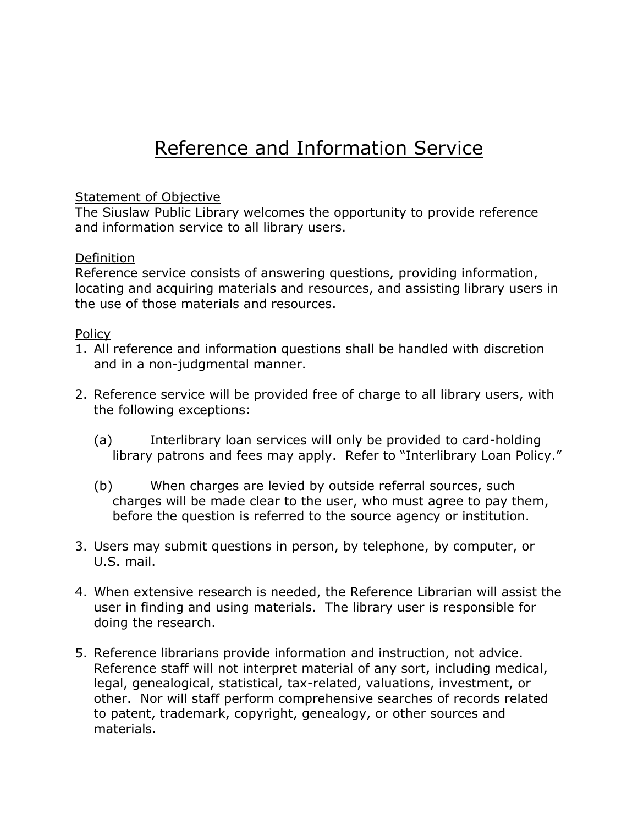## Reference and Information Service

## Statement of Objective

The Siuslaw Public Library welcomes the opportunity to provide reference and information service to all library users.

## **Definition**

Reference service consists of answering questions, providing information, locating and acquiring materials and resources, and assisting library users in the use of those materials and resources.

## Policy

- 1. All reference and information questions shall be handled with discretion and in a non-judgmental manner.
- 2. Reference service will be provided free of charge to all library users, with the following exceptions:
	- (a) Interlibrary loan services will only be provided to card-holding library patrons and fees may apply. Refer to "Interlibrary Loan Policy."
	- (b) When charges are levied by outside referral sources, such charges will be made clear to the user, who must agree to pay them, before the question is referred to the source agency or institution.
- 3. Users may submit questions in person, by telephone, by computer, or U.S. mail.
- 4. When extensive research is needed, the Reference Librarian will assist the user in finding and using materials. The library user is responsible for doing the research.
- 5. Reference librarians provide information and instruction, not advice. Reference staff will not interpret material of any sort, including medical, legal, genealogical, statistical, tax-related, valuations, investment, or other. Nor will staff perform comprehensive searches of records related to patent, trademark, copyright, genealogy, or other sources and materials.